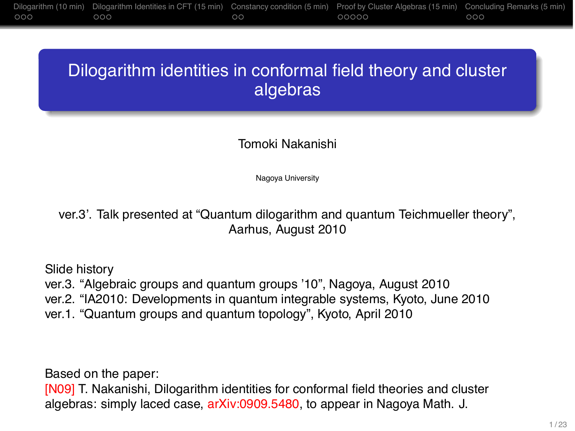# Dilogarithm identities in conformal field theory and cluster algebras

### Tomoki Nakanishi

Nagoya University

ver.3'. Talk presented at "Quantum dilogarithm and quantum Teichmueller theory", Aarhus, August 2010

Slide history

ver.3. "Algebraic groups and quantum groups '10", Nagoya, August 2010

ver.2. "IA2010: Developments in quantum integrable systems, Kyoto, June 2010

ver.1. "Quantum groups and quantum topology", Kyoto, April 2010

Based on the paper:

[N09] T. Nakanishi, Dilogarithm identities for conformal field theories and cluster algebras: simply laced case, arXiv:0909.5480, to appear in Nagoya Math. J.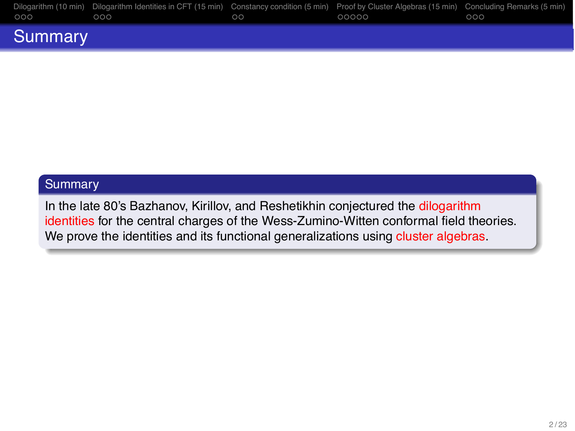| 000     | Dilogarithm (10 min) Dilogarithm Identities in CFT (15 min) Constancy condition (5 min) Proof by Cluster Algebras (15 min) Concluding Remarks (5 min)<br>,000 | ററ | 00000 | 000 |
|---------|---------------------------------------------------------------------------------------------------------------------------------------------------------------|----|-------|-----|
| Summary |                                                                                                                                                               |    |       |     |

### **Summary**

In the late 80's Bazhanov, Kirillov, and Reshetikhin conjectured the dilogarithm identities for the central charges of the Wess-Zumino-Witten conformal field theories. We prove the identities and its functional generalizations using cluster algebras.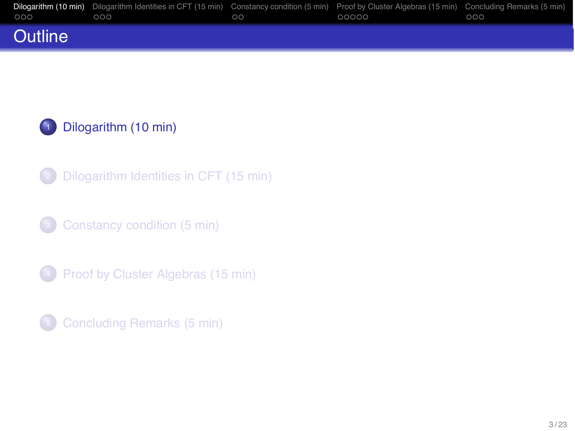|                | Dilogarithm (10 min) Dilogarithm Identities in CFT (15 min) Constancy condition (5 min) Proof by Cluster Algebras (15 min) Concluding Remarks (5 min) |    |       |     |
|----------------|-------------------------------------------------------------------------------------------------------------------------------------------------------|----|-------|-----|
| $000 -$        | 000                                                                                                                                                   | ററ | 00000 | 000 |
| <b>Outline</b> |                                                                                                                                                       |    |       |     |

[Dilogarithm Identities in CFT \(15 min\)](#page-6-0)

[Constancy condition \(5 min\)](#page-10-0)

[Proof by Cluster Algebras \(15 min\)](#page-13-0)

<span id="page-2-0"></span>[Concluding Remarks \(5 min\)](#page-19-0)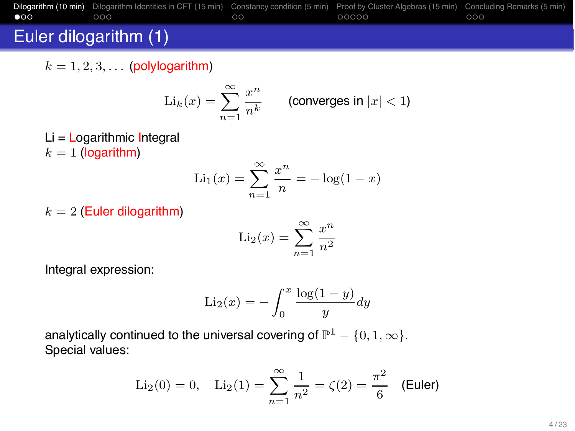

## Euler dilogarithm (1)

 $k = 1, 2, 3, \ldots$  (polylogarithm)

$$
\mathrm{Li}_k(x) = \sum_{n=1}^\infty \frac{x^n}{n^k} \qquad \text{(converges in } |x| < 1\text{)}
$$

 $Li =$  Logarithmic Integral  $k = 1$  (logarithm)

$$
Li_1(x) = \sum_{n=1}^{\infty} \frac{x^n}{n} = -\log(1-x)
$$

 $k = 2$  (Euler dilogarithm)

$$
\mathrm{Li}_2(x) = \sum_{n=1}^{\infty} \frac{x^n}{n^2}
$$

Integral expression:

$$
\text{Li}_2(x) = -\int_0^x \frac{\log(1-y)}{y} dy
$$

analytically continued to the universal covering of  $\mathbb{P}^1 - \{0, 1, \infty\}$ . Special values:

$$
\text{Li}_2(0) = 0, \quad \text{Li}_2(1) = \sum_{n=1}^{\infty} \frac{1}{n^2} = \zeta(2) = \frac{\pi^2}{6} \quad \text{(Euler)}
$$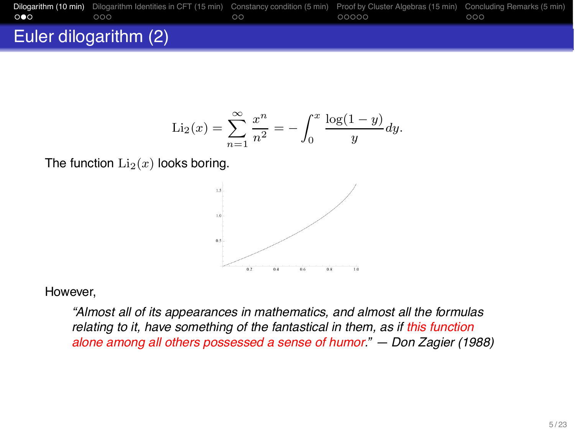|     | Dilogarithm (10 min) Dilogarithm Identities in CFT (15 min) Constancy condition (5 min) Proof by Cluster Algebras (15 min) Concluding Remarks (5 min) |    |       |     |
|-----|-------------------------------------------------------------------------------------------------------------------------------------------------------|----|-------|-----|
| 000 | റററ                                                                                                                                                   | ററ | 00000 | റററ |
|     | Euler dilogarithm (2)                                                                                                                                 |    |       |     |

$$
\text{Li}_2(x) = \sum_{n=1}^{\infty} \frac{x^n}{n^2} = -\int_0^x \frac{\log(1-y)}{y} dy.
$$

The function  $Li_2(x)$  looks boring.



However,

*"Almost all of its appearances in mathematics, and almost all the formulas relating to it, have something of the fantastical in them, as if this function alone among all others possessed a sense of humor." — Don Zagier (1988)*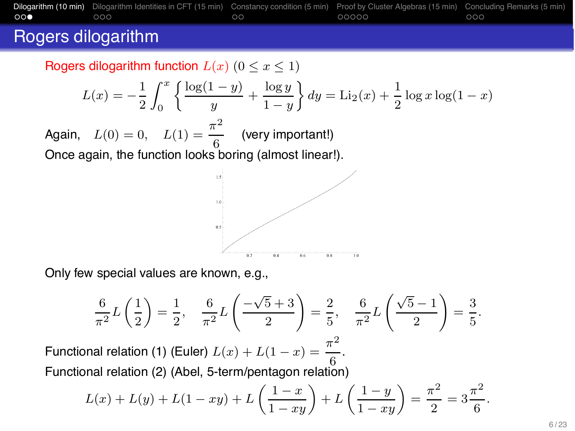

### Rogers dilogarithm

Rogers dilogarithm function  $L(x)$   $(0 \le x \le 1)$ 

$$
L(x) = -\frac{1}{2} \int_0^x \left\{ \frac{\log(1-y)}{y} + \frac{\log y}{1-y} \right\} dy = \text{Li}_2(x) + \frac{1}{2} \log x \log(1-x)
$$

Again,  $L(0) = 0$ ,  $L(1) = \frac{\pi^2}{6}$  (very important!) Once again, the function looks boring (almost linear!).



Only few special values are known, e.g.,

$$
\frac{6}{\pi^2}L\left(\frac{1}{2}\right) = \frac{1}{2}, \quad \frac{6}{\pi^2}L\left(\frac{-\sqrt{5}+3}{2}\right) = \frac{2}{5}, \quad \frac{6}{\pi^2}L\left(\frac{\sqrt{5}-1}{2}\right) = \frac{3}{5}.
$$

Functional relation (1) (Euler)  $L(x) + L(1-x) = \frac{\pi^2}{.6}$ . Functional relation (2) (Abel, 5-term/pentagon relation)

$$
L(x) + L(y) + L(1 - xy) + L\left(\frac{1 - x}{1 - xy}\right) + L\left(\frac{1 - y}{1 - xy}\right) = \frac{\pi^2}{2} = 3\frac{\pi^2}{6}.
$$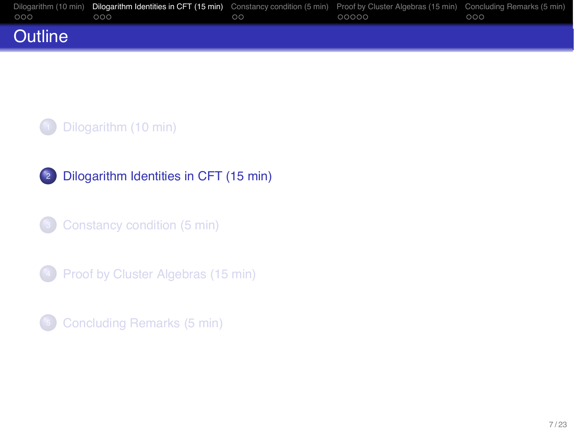|                | Dilogarithm (10 min) Dilogarithm Identities in CFT (15 min) Constancy condition (5 min) Proof by Cluster Algebras (15 min) Concluding Remarks (5 min) |    |       |     |
|----------------|-------------------------------------------------------------------------------------------------------------------------------------------------------|----|-------|-----|
| $000 -$        | 000                                                                                                                                                   | ററ | 00000 | 000 |
| <b>Outline</b> |                                                                                                                                                       |    |       |     |

2 [Dilogarithm Identities in CFT \(15 min\)](#page-6-0)

<sup>3</sup> [Constancy condition \(5 min\)](#page-10-0)

**4** [Proof by Cluster Algebras \(15 min\)](#page-13-0)

<span id="page-6-0"></span><sup>5</sup> [Concluding Remarks \(5 min\)](#page-19-0)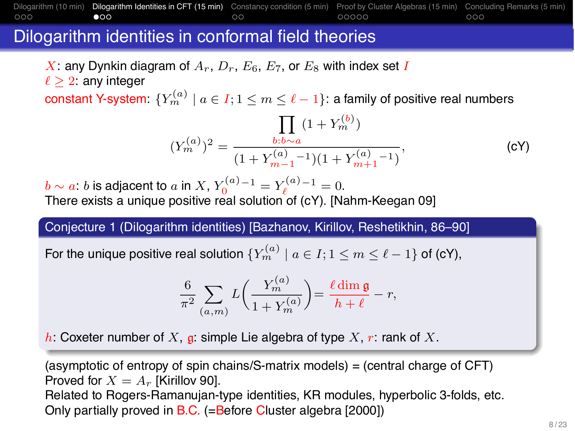#### [Dilogarithm \(10 min\)](#page-2-0) [Dilogarithm Identities in CFT \(15 min\)](#page-6-0) [Constancy condition \(5 min\)](#page-10-0) [Proof by Cluster Algebras \(15 min\)](#page-13-0) [Concluding Remarks \(5 min\)](#page-19-0)<br>000 0000 0000 0000 000  $\bullet$ 00  $00000$  $000$

## Dilogarithm identities in conformal field theories

X: any Dynkin diagram of  $A_r$ ,  $D_r$ ,  $E_6$ ,  $E_7$ , or  $E_8$  with index set I

 $\ell > 2$ : any integer

constant Y-system:  ${Y_m^{(a)} \mid a \in I; 1 \le m \le \ell - 1}$ : a family of positive real numbers

$$
(Y_m^{(a)})^2 = \frac{\prod_{b:b\sim a} (1 + Y_m^{(b)})}{(1 + Y_{m-1}^{(a)}{}^{-1})(1 + Y_{m+1}^{(a)}{}^{-1})},
$$
 (cY)

 $b \sim a$ : b is adjacent to a in X,  $Y_0^{(a)-1} = Y_\ell^{(a)-1} = 0.$ There exists a unique positive real solution of (cY). [Nahm-Keegan 09]

Conjecture 1 (Dilogarithm identities) [Bazhanov, Kirillov, Reshetikhin, 86–90]

For the unique positive real solution  ${Y_m^{(a)} \mid a \in I; 1 \le m \le \ell - 1}$  of (cY),

$$
\frac{6}{\pi^2} \sum_{(a,m)} L\left(\frac{Y_m^{(a)}}{1+Y_m^{(a)}}\right) = \frac{\ell \dim \mathfrak{g}}{h+\ell} - r,
$$

h: Coxeter number of X, g: simple Lie algebra of type X, r: rank of X.

(asymptotic of entropy of spin chains/S-matrix models) = (central charge of CFT) Proved for  $X = A_r$  [Kirillov 90].

Related to Rogers-Ramanujan-type identities, KR modules, hyperbolic 3-folds, etc. Only partially proved in B.C. (=Before Cluster algebra [2000])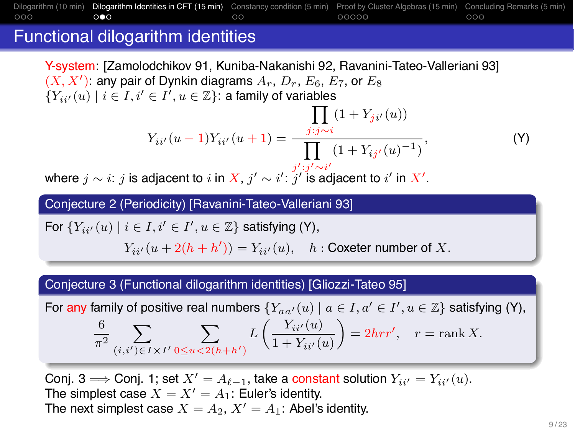#### [Dilogarithm \(10 min\)](#page-2-0) [Dilogarithm Identities in CFT \(15 min\)](#page-6-0) [Constancy condition \(5 min\)](#page-10-0) [Proof by Cluster Algebras \(15 min\)](#page-13-0) [Concluding Remarks \(5 min\)](#page-19-0)<br>00000 00000 0000  $\circ \bullet \circ$  $\circ$  $00000$  $000$

## Functional dilogarithm identities

Y-system: [Zamolodchikov 91, Kuniba-Nakanishi 92, Ravanini-Tateo-Valleriani 93]  $(X, X')$ : any pair of Dynkin diagrams  $A_r$ ,  $D_r$ ,  $E_6$ ,  $E_7$ , or  $E_8$  ${Y_{ii'}}(u) \mid i \in I, i' \in I', u \in \mathbb{Z}$ : a family of variables

$$
Y_{ii'}(u-1)Y_{ii'}(u+1) = \frac{\prod_{j:j \sim i} (1 + Y_{ji'}(u))}{\prod_{i',i',j'} (1 + Y_{ij'}(u)^{-1})},
$$
 (Y)

<span id="page-8-0"></span>where  $j\sim i$ :  $j$  is adjacent to  $i$  in  $X,$   $j'\sim i'$ :  $j'$  is adjacent to  $i'$  in  $X'.$ 

Conjecture 2 (Periodicity) [Ravanini-Tateo-Valleriani 93]

For  $\{Y_{ii'}(u) \mid i \in I, i' \in I', u \in \mathbb{Z}\}$  satisfying [\(Y\)](#page-8-0),

 $Y_{ii'}(u+2(h+h')) = Y_{ii'}(u), \quad h:$  Coxeter number of X.

### Conjecture 3 (Functional dilogarithm identities) [Gliozzi-Tateo 95]

For any family of positive real numbers  $\{Y_{aa'}(u) \mid a \in I, a' \in I', u \in \mathbb{Z}\}$  satisfying [\(Y\)](#page-8-0), 6  $\frac{0}{\pi^2}$  $(i,i')$ ∈ $I \times I'$  $\sum$  $0 \le u < 2(h+h')$  $L\left(\frac{Y_{ii'}(u)}{1+Y_{i'}(u)}\right)$  $1 + Y_{ii'}(u)$  $= 2hrr', r = \text{rank } X.$ 

Conj. 3  $\Longrightarrow$  Conj. 1; set  $X' = A_{\ell-1}$ , take a constant solution  $Y_{ii'} = Y_{ii'}(u)$ . The simplest case  $X = X' = A_1$ : Euler's identity. The next simplest case  $X = A_2$ ,  $X' = A_1$ : Abel's identity.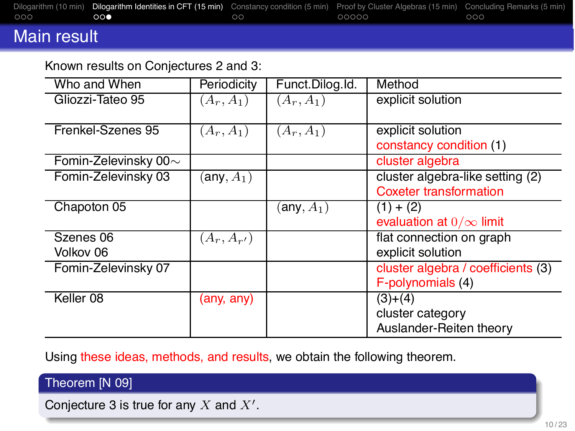|     | Dilogarithm (10 min) Dilogarithm Identities in CFT (15 min) Constancy condition (5 min) Proof by Cluster Algebras (15 min) Concluding Remarks (5 min) |    |       |     |
|-----|-------------------------------------------------------------------------------------------------------------------------------------------------------|----|-------|-----|
| 000 | ററക                                                                                                                                                   | ററ | 00000 | 000 |
|     |                                                                                                                                                       |    |       |     |

## Main result

### Known results on Conjectures 2 and 3:

| Who and When               | Periodicity     | Funct Dilog Id. | Method                             |
|----------------------------|-----------------|-----------------|------------------------------------|
| Gliozzi-Tateo 95           | $(A_r, A_1)$    | $(A_r, A_1)$    | explicit solution                  |
|                            |                 |                 |                                    |
| Frenkel-Szenes 95          | $(A_r, A_1)$    | $(A_r, A_1)$    | explicit solution                  |
|                            |                 |                 | constancy condition (1)            |
| Fomin-Zelevinsky 00 $\sim$ |                 |                 | cluster algebra                    |
| Fomin-Zelevinsky 03        | (any, $A_1$ )   |                 | cluster algebra-like setting (2)   |
|                            |                 |                 | <b>Coxeter transformation</b>      |
| Chapoton 05                |                 | (any, $A_1$ )   | $(1) + (2)$                        |
|                            |                 |                 | evaluation at $0/\infty$ limit     |
| Szenes 06                  | $(A_r, A_{r'})$ |                 | flat connection on graph           |
| Volkov 06                  |                 |                 | explicit solution                  |
| Fomin-Zelevinsky 07        |                 |                 | cluster algebra / coefficients (3) |
|                            |                 |                 | F-polynomials (4)                  |
| Keller <sub>08</sub>       | (any, any)      |                 | $(3)+(4)$                          |
|                            |                 |                 | cluster category                   |
|                            |                 |                 | Auslander-Reiten theory            |

Using these ideas, methods, and results, we obtain the following theorem.

### Theorem [N 09]

Conjecture 3 is true for any  $X$  and  $X'$ .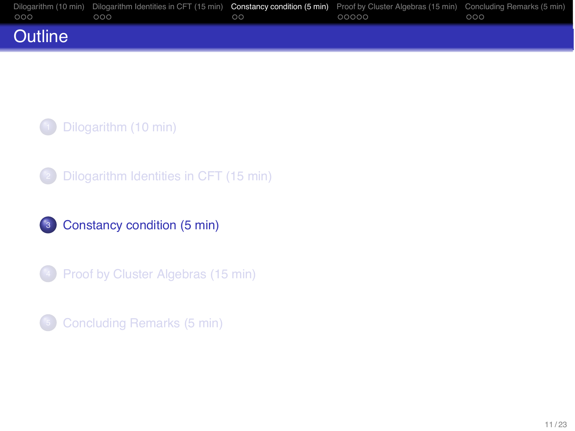| $000 -$        | Dilogarithm (10 min) Dilogarithm Identities in CFT (15 min) Constancy condition (5 min) Proof by Cluster Algebras (15 min) Concluding Remarks (5 min)<br>000 | ററ | 00000 | 000 |
|----------------|--------------------------------------------------------------------------------------------------------------------------------------------------------------|----|-------|-----|
| <b>Outline</b> |                                                                                                                                                              |    |       |     |

<sup>2</sup> [Dilogarithm Identities in CFT \(15 min\)](#page-6-0)

<sup>3</sup> [Constancy condition \(5 min\)](#page-10-0)

**4** [Proof by Cluster Algebras \(15 min\)](#page-13-0)

<span id="page-10-0"></span><sup>5</sup> [Concluding Remarks \(5 min\)](#page-19-0)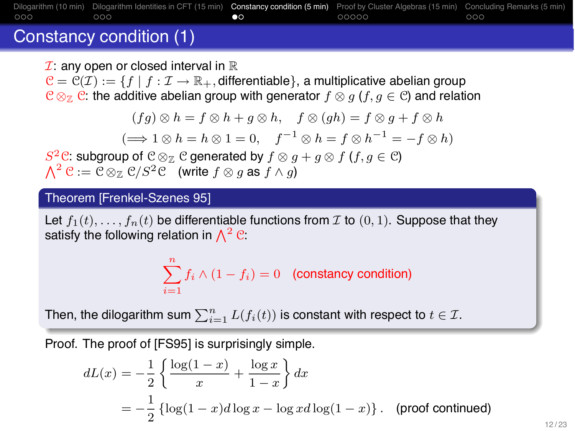### [Dilogarithm \(10 min\)](#page-2-0) [Dilogarithm Identities in CFT \(15 min\)](#page-6-0) [Constancy condition \(5 min\)](#page-10-0) [Proof by Cluster Algebras \(15 min\)](#page-13-0) [Concluding Remarks \(5 min\)](#page-19-0)<br>0000 0000 0000 000  $\bullet$  $000$

## Constancy condition (1)

 $I:$  any open or closed interval in  $\mathbb R$ 

 $C = C(\mathcal{I}) := \{f \mid f : \mathcal{I} \to \mathbb{R}_+$ , differentiable  $\}$ , a multiplicative abelian group  $C \otimes_{\mathbb{Z}} C$ : the additive abelian group with generator  $f \otimes g$  ( $f, g \in C$ ) and relation

$$
(fg) \otimes h = f \otimes h + g \otimes h, \quad f \otimes (gh) = f \otimes g + f \otimes h
$$

$$
(\Longrightarrow 1 \otimes h = h \otimes 1 = 0, \quad f^{-1} \otimes h = f \otimes h^{-1} = -f \otimes h)
$$

 $S^2$ C: subgroup of C ⊗<sub>Z</sub> C generated by  $f \otimes g + g \otimes f$  ( $f, g \in C$ )<br> $\bigwedge^2$  C := C ⊗<sub>Z</sub> C/S<sup>2</sup>C (write  $f \otimes g$  as  $f \wedge g$ )  $\Lambda^2 \mathcal{C} := \mathcal{C} \otimes_{\mathbb{Z}} \mathcal{C}/S^2 \mathcal{C}$  (write  $f \otimes g$  as  $f \wedge g$ )

### Theorem [Frenkel-Szenes 95]

Let  $f_1(t),...,f_n(t)$  be differentiable functions from  $\mathcal I$  to  $(0,1)$ . Suppose that they satisfy the following relation in  $\Lambda^2$  C:

$$
\sum_{i=1}^{n} f_i \wedge (1 - f_i) = 0
$$
 (constanty condition)

Then, the dilogarithm sum  $\sum_{i=1}^n L(f_i(t))$  is constant with respect to  $t \in \mathcal{I}.$ 

Proof. The proof of [FS95] is surprisingly simple.

$$
dL(x) = -\frac{1}{2} \left\{ \frac{\log(1-x)}{x} + \frac{\log x}{1-x} \right\} dx
$$
  
= 
$$
-\frac{1}{2} \left\{ \log(1-x) d \log x - \log x d \log(1-x) \right\}.
$$
 (proof continued)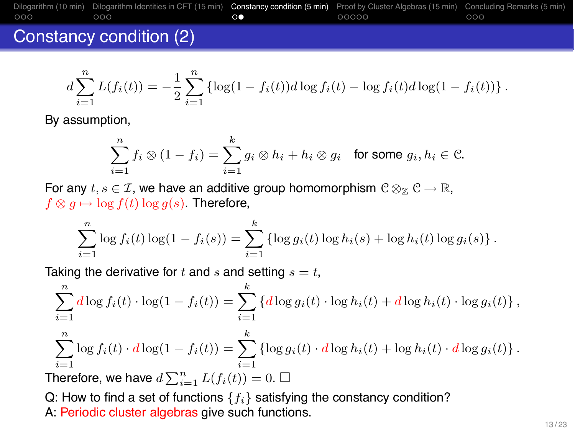

### Constancy condition (2)

$$
d\sum_{i=1}^{n} L(f_i(t)) = -\frac{1}{2} \sum_{i=1}^{n} \left\{ \log(1 - f_i(t)) d \log f_i(t) - \log f_i(t) d \log(1 - f_i(t)) \right\}.
$$

By assumption,

$$
\sum_{i=1}^n f_i \otimes (1-f_i) = \sum_{i=1}^k g_i \otimes h_i + h_i \otimes g_i \quad \text{for some } g_i, h_i \in \mathcal{C}.
$$

For any  $t, s \in \mathcal{I}$ , we have an additive group homomorphism  $\mathcal{C} \otimes_{\mathbb{Z}} \mathcal{C} \to \mathbb{R}$ ,  $f \otimes g \mapsto \log f(t) \log g(s)$ . Therefore,

$$
\sum_{i=1}^{n} \log f_i(t) \log(1 - f_i(s)) = \sum_{i=1}^{k} \{ \log g_i(t) \log h_i(s) + \log h_i(t) \log g_i(s) \}.
$$

Taking the derivative for t and s and setting  $s = t$ ,

$$
\sum_{i=1}^{n} d \log f_i(t) \cdot \log(1 - f_i(t)) = \sum_{i=1}^{k} \left\{ d \log g_i(t) \cdot \log h_i(t) + d \log h_i(t) \cdot \log g_i(t) \right\},
$$
\n
$$
\sum_{i=1}^{n} \log f_i(t) \cdot d \log(1 - f_i(t)) = \sum_{i=1}^{k} \left\{ \log g_i(t) \cdot d \log h_i(t) + \log h_i(t) \cdot d \log g_i(t) \right\}.
$$
\nMoreover, we have

\n
$$
d \sum_{i=1}^{n} I(f_i(t)) = 0 \quad \Box
$$

Therefore, we have  $d\sum_{i=1}^{n}L(f_i(t))=0.$   $\Box$ 

Q: How to find a set of functions  $\{f_i\}$  satisfying the constancy condition?

A: Periodic cluster algebras give such functions.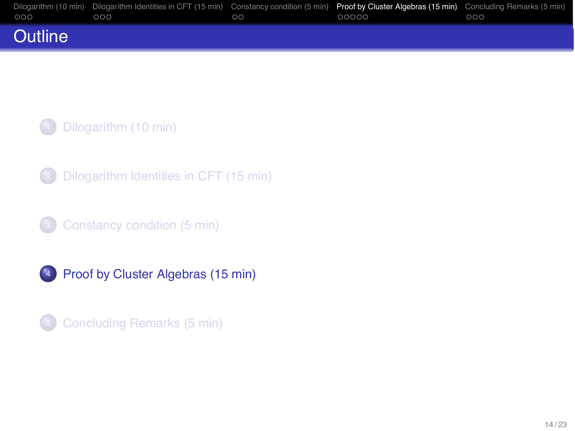|                | Dilogarithm (10 min) Dilogarithm Identities in CFT (15 min) Constancy condition (5 min) Proof by Cluster Algebras (15 min) Concluding Remarks (5 min) |         |       |     |
|----------------|-------------------------------------------------------------------------------------------------------------------------------------------------------|---------|-------|-----|
| 000            | 000                                                                                                                                                   | $\circ$ | 00000 | 000 |
| <b>Outline</b> |                                                                                                                                                       |         |       |     |

<sup>2</sup> [Dilogarithm Identities in CFT \(15 min\)](#page-6-0)

<sup>3</sup> [Constancy condition \(5 min\)](#page-10-0)

<sup>4</sup> [Proof by Cluster Algebras \(15 min\)](#page-13-0)

<span id="page-13-0"></span>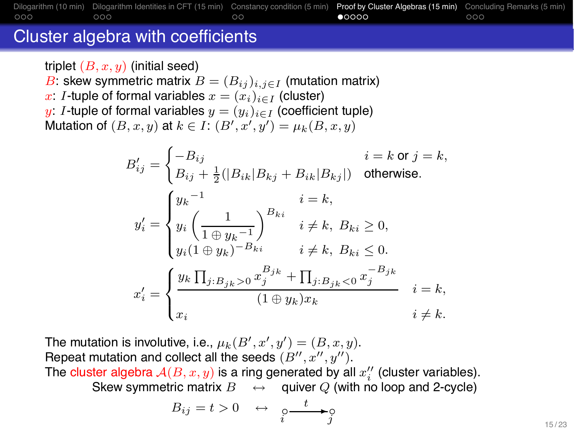#### [Dilogarithm \(10 min\)](#page-2-0) [Dilogarithm Identities in CFT \(15 min\)](#page-6-0) [Constancy condition \(5 min\)](#page-10-0) [Proof by Cluster Algebras \(15 min\)](#page-13-0) [Concluding Remarks \(5 min\)](#page-19-0)<br>0000 000 000 000  $000$  $\circ$  $00000$  $000$

### Cluster algebra with coefficients

triplet  $(B, x, y)$  (initial seed)

B: skew symmetric matrix  $B = (B_{ij})_{i,j \in I}$  (mutation matrix)

x: I-tuple of formal variables  $x = (x_i)_{i \in I}$  (cluster)

y: I-tuple of formal variables  $y = (y_i)_{i \in I}$  (coefficient tuple) Mutation of  $(B, x, y)$  at  $k \in I$ :  $(B', x', y') = \mu_k(B, x, y)$ 

$$
B'_{ij} = \begin{cases} -B_{ij} & i = k \text{ or } j = k, \\ B_{ij} + \frac{1}{2}(|B_{ik}|B_{kj} + B_{ik}|B_{kj}|) & \text{otherwise.} \end{cases}
$$
  

$$
y'_{i} = \begin{cases} y_{k}^{-1} & i = k, \\ y_{i} \left(\frac{1}{1 \oplus y_{k}^{-1}}\right)^{B_{ki}} & i \neq k, B_{ki} \geq 0, \\ y_{i} (1 \oplus y_{k})^{-B_{ki}} & i \neq k, B_{ki} \leq 0. \end{cases}
$$
  

$$
x'_{i} = \begin{cases} y_{k} \prod_{j:B_{jk} > 0} x_{j}^{B_{jk}} + \prod_{j:B_{jk} < 0} x_{j}^{-B_{jk}} & i = k, \\ x_{i} & i \neq k. \end{cases}
$$

The mutation is involutive, i.e.,  $\mu_k(B', x', y') = (B, x, y)$ . Repeat mutation and collect all the seeds  $(B'', x'', y'')$ .

The cluster algebra  $A(B, x, y)$  is a ring generated by all  $x_i''$  (cluster variables). Skew symmetric matrix  $B \leftrightarrow$  quiver Q (with no loop and 2-cycle)

$$
B_{ij}=t>0\quad\leftrightarrow\quad\underset{i}{\circ}\xrightarrow{\quad t\quad\quad}
$$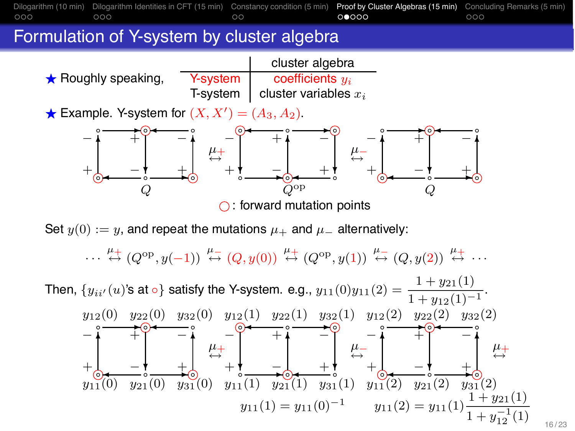

 $\cdots \stackrel{\mu_+}{\leftrightarrow} (Q^{\rm op}, y(-1)) \stackrel{\mu_-}{\leftrightarrow} (Q, y(0)) \stackrel{\mu_+}{\leftrightarrow} (Q^{\rm op}, y(1)) \stackrel{\mu_-}{\leftrightarrow} (Q, y(2)) \stackrel{\mu_+}{\leftrightarrow} \cdots$ 

Then,  $\{y_{ii'}(u)$ 's at ∘} satisfy the Y-system. e.g.,  $y_{11}(0)y_{11}(2) = \frac{1 + y_{21}(1)}{1 + y_{12}(1)^{-1}}$ . ✻ k. ✻  $\frac{-1}{\infty}$  +  $y_{12}(0)$   $y_{22}(0)$   $y_{32}(0)$  $+\bigcirc$  +  $-\circ$  + − + + <del>+</del> + −  $y_{11}(0)$   $y_{21}(0)$   $y_{31}(0)$  $\stackrel{\mu_+}{\leftrightarrow}$ ✻  $\frac{-1}{\sqrt{2}}$   $\frac{+}{\sqrt{2}}$  $y_{12}(1)$   $y_{22}(1)$   $y_{32}(1)$  $y_{11}(2) = y_{11}(1)$  $1 + y_{12}^{-1}$  $\frac{-1}{12}(1)$  $+\frac{1}{6}$   $-\frac{1}{6}$   $+\frac{1}{6}$ − + + − −  $y_{11}(1)$   $y_{21}(1)$   $y_{31}(1)$  $y_{11}(1) = y_{11}(0)^{-1}$  $\mu$   $\rightarrow$   $\mu$   $\rightarrow$   $\mu$ k. ✻  $\frac{\ }{1}$   $-\frac{1}{2}$   $+\frac{1}{2}$  $y_{12}(2)$   $y_{22}(2)$   $y_{32}(2)$  $+\bigcirc$  +  $-\circ$  + − + + <del>+</del> + −  $y_{11}(2)$   $y_{21}(2)$   $y_{31}(2)$  $\mu_{+}$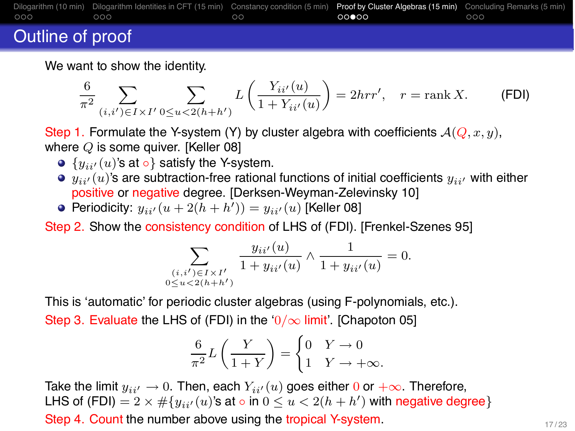

## Outline of proof

We want to show the identity.

$$
\frac{6}{\pi^2} \sum_{(i,i') \in I \times I'} \sum_{0 \le u < 2(h+h')} L\left(\frac{Y_{ii'}(u)}{1+Y_{ii'}(u)}\right) = 2hrr', \quad r = \text{rank } X. \tag{FDI}
$$

Step 1. Formulate the Y-system (Y) by cluster algebra with coefficients  $\mathcal{A}(Q, x, y)$ , where Q is some quiver. [Keller 08]

- $\bullet$  { $y_{ii'}(u)$ 's at  $\circ$ } satisfy the Y-system.
- $\bullet$   $y_{ii'}(u)$ 's are subtraction-free rational functions of initial coefficients  $y_{ii'}$  with either positive or negative degree. [Derksen-Weyman-Zelevinsky 10]
- Periodicity:  $y_{ii'}(u+2(h+h'))=y_{ii'}(u)$  [Keller 08]

Step 2. Show the consistency condition of LHS of (FDI). [Frenkel-Szenes 95]

$$
\sum_{\substack{(i,i') \in I \times I' \\ 0 \le u < 2(h+h')}} \frac{y_{ii'}(u)}{1 + y_{ii'}(u)} \wedge \frac{1}{1 + y_{ii'}(u)} = 0.
$$

This is 'automatic' for periodic cluster algebras (using F-polynomials, etc.). Step 3. Evaluate the LHS of (FDI) in the ' $0/\infty$  limit'. [Chapoton 05]

$$
\frac{6}{\pi^2}L\left(\frac{Y}{1+Y}\right) = \begin{cases} 0 & Y \to 0 \\ 1 & Y \to +\infty. \end{cases}
$$

Take the limit  $y_{ii'} \rightarrow 0$ . Then, each  $Y_{ii'}(u)$  goes either 0 or  $+\infty$ . Therefore, LHS of (FDI)  $= 2 \times # \{ y_{ii'}(u)$ 's at  $\circ$  in  $0 \le u < 2(h+h')$  with negative degree $\}$ Step 4. Count the number above using the tropical Y-system.  $17/23$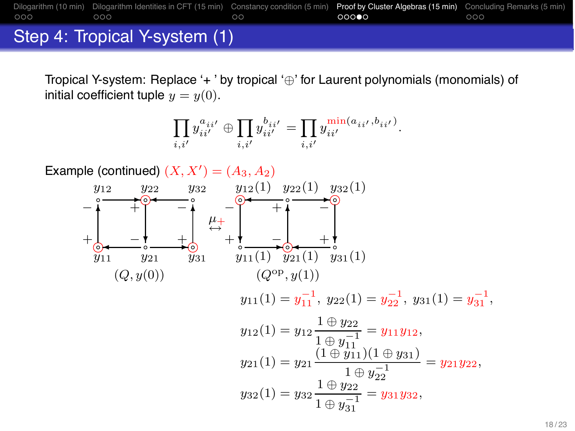# [Dilogarithm \(10 min\)](#page-2-0) [Dilogarithm Identities in CFT \(15 min\)](#page-6-0) [Constancy condition \(5 min\)](#page-10-0) [Proof by Cluster Algebras \(15 min\)](#page-13-0) [Concluding Remarks \(5 min\)](#page-19-0) Step 4: Tropical Y-system (1)

Tropical Y-system: Replace  $+$  ' by tropical  $\oplus$  ' for Laurent polynomials (monomials) of initial coefficient tuple  $y = y(0)$ .

$$
\prod_{i,i'} y_{ii'}^{a_{ii'}} \oplus \prod_{i,i'} y_{ii'}^{b_{ii'}} = \prod_{i,i'} \frac{\text{min}(a_{ii'},b_{ii'})}{y_{ii'}^{i}}
$$

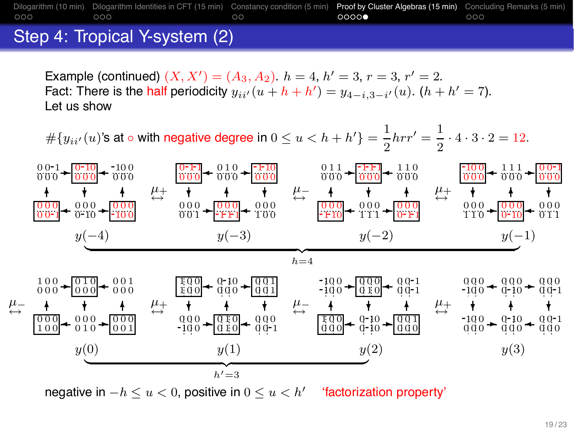### [Dilogarithm \(10 min\)](#page-2-0) [Dilogarithm Identities in CFT \(15 min\)](#page-6-0) [Constancy condition \(5 min\)](#page-10-0) [Proof by Cluster Algebras \(15 min\)](#page-13-0) [Concluding Remarks \(5 min\)](#page-19-0)<br>000 0000 0000 0000  $\circ$  $0000$

## Step 4: Tropical Y-system (2)

Example (continued)  $(X, X') = (A_3, A_2)$ .  $h = 4$ ,  $h' = 3$ ,  $r = 3$ ,  $r' = 2$ . Fact: There is the half periodicity  $y_{ii'}(u + h + h') = y_{4-i,3-i'}(u)$ .  $(h + h' = 7)$ . Let us show

 $\#\{y_{ii'}(u)$ 's at ∘ with negative degree in  $0 \le u < h + h'\} = \frac{1}{2} h r r' = \frac{1}{2} \cdot 4 \cdot 3 \cdot 2 = 12.$ 



negative in  $-h \le u \le 0$ , positive in  $0 \le u \le h'$  'factorization property'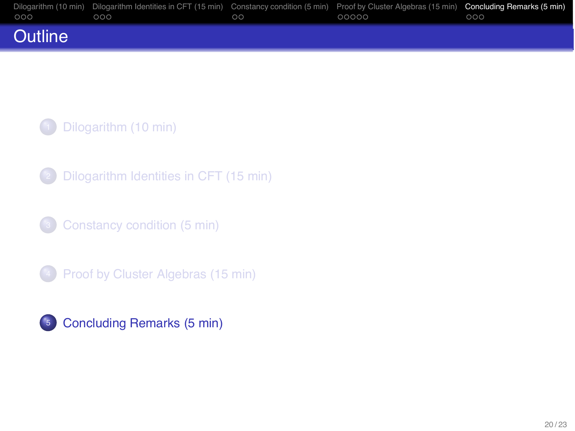|                | Dilogarithm (10 min) Dilogarithm Identities in CFT (15 min) Constancy condition (5 min) Proof by Cluster Algebras (15 min) Concluding Remarks (5 min) |    |       |     |
|----------------|-------------------------------------------------------------------------------------------------------------------------------------------------------|----|-------|-----|
| $000 -$        | 000                                                                                                                                                   | ററ | 00000 | 000 |
| <b>Outline</b> |                                                                                                                                                       |    |       |     |

<sup>2</sup> [Dilogarithm Identities in CFT \(15 min\)](#page-6-0)

<sup>3</sup> [Constancy condition \(5 min\)](#page-10-0)

**4** [Proof by Cluster Algebras \(15 min\)](#page-13-0)

<span id="page-19-0"></span>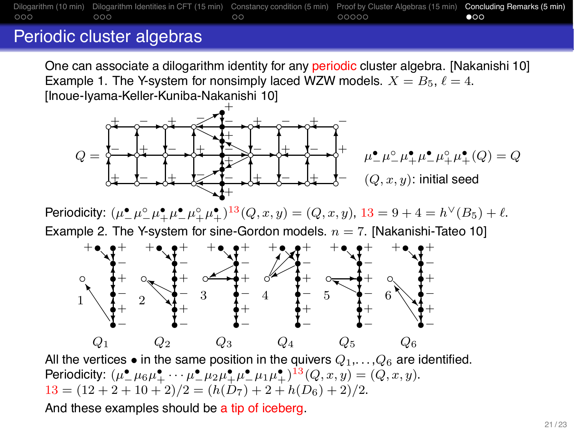[Dilogarithm \(10 min\)](#page-2-0) [Dilogarithm Identities in CFT \(15 min\)](#page-6-0) [Constancy condition \(5 min\)](#page-10-0) [Proof by Cluster Algebras \(15 min\)](#page-13-0) [Concluding Remarks \(5 min\)](#page-19-0)<br>000 00000 00000 000  $\circ$  $\bullet$ 00

## Periodic cluster algebras

One can associate a dilogarithm identity for any periodic cluster algebra. [Nakanishi 10] Example 1. The Y-system for nonsimply laced WZW models.  $X = B_5$ ,  $\ell = 4$ . [Inoue-Iyama-Keller-Kuniba-Nakanishi 10]



Periodicity:  $(\mu^{\bullet}_{-}\mu^{\circ}_{-}\mu^{\bullet}_{+}\mu^{\bullet}_{-}\mu^{\circ}_{+}\mu^{\bullet}_{+})^{13}(Q,x,y) = (Q,x,y), 13 = 9 + 4 = h^{\vee}(B_5) + \ell.$ Example 2. The Y-system for sine-Gordon models.  $n = 7$ . [Nakanishi-Tateo 10]



All the vertices • in the same position in the quivers  $Q_1, \ldots, Q_6$  are identified. Periodicity:  $(\mu^{\bullet}_{-\mu^{\bullet}_{0}}\mu^{\bullet}_{+} \cdots \mu^{\bullet}_{-\mu^{2}}\mu^{\bullet}_{+}\mu^{\bullet}_{-\mu^{2}}\mu^{\bullet}_{+})^{13}(Q, x, y) = (Q, x, y).$  $13 = (12 + 2 + 10 + 2)/2 = (h(D_7) + 2 + h(D_6) + 2)/2.$ 

And these examples should be a tip of iceberg.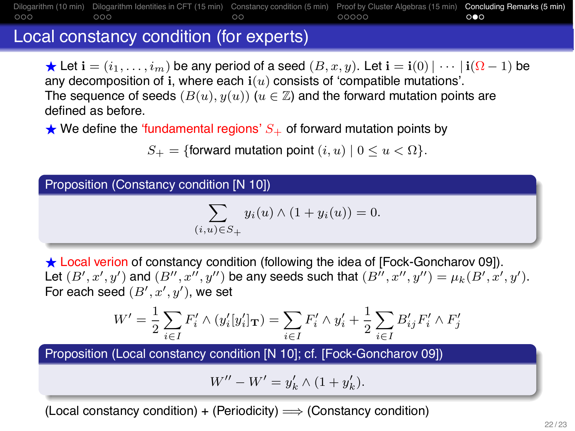[Dilogarithm \(10 min\)](#page-2-0) [Dilogarithm Identities in CFT \(15 min\)](#page-6-0) [Constancy condition \(5 min\)](#page-10-0) [Proof by Cluster Algebras \(15 min\)](#page-13-0) [Concluding Remarks \(5 min\)](#page-19-0)<br>COO COOCO COOCO COOCO  $\circ$  $000$ 

## Local constancy condition (for experts)

Let  $\mathbf{i} = (i_1, \ldots, i_m)$  be any period of a seed  $(B, x, y)$ . Let  $\mathbf{i} = \mathbf{i}(0) \mid \cdots \mid \mathbf{i}(\Omega - 1)$  be any decomposition of i, where each  $i(u)$  consists of 'compatible mutations'. The sequence of seeds  $(B(u), y(u))$   $(u \in \mathbb{Z})$  and the forward mutation points are defined as before.

 $\star$  We define the 'fundamental regions'  $S_{+}$  of forward mutation points by

 $S_+ = \{$  forward mutation point  $(i, u) \mid 0 \le u \le \Omega$ .

Proposition (Constancy condition [N 10])

$$
\sum_{(i,u)\in S_+} y_i(u) \wedge (1 + y_i(u)) = 0.
$$

 $\star$  Local verion of constancy condition (following the idea of [Fock-Goncharov 09]). Let  $(B', x', y')$  and  $(B'', x'', y'')$  be any seeds such that  $(B'', x'', y'') = \mu_k(B', x', y')$ . For each seed  $(B', x', y')$ , we set

$$
W' = \frac{1}{2} \sum_{i \in I} F'_i \wedge (y'_i[y'_i]_{\mathbf{T}}) = \sum_{i \in I} F'_i \wedge y'_i + \frac{1}{2} \sum_{i \in I} B'_{ij} F'_i \wedge F'_j
$$

Proposition (Local constancy condition [N 10]; cf. [Fock-Goncharov 09])

$$
W'' - W' = y'_{k} \wedge (1 + y'_{k}).
$$

(Local constancy condition) + (Periodicity)  $\Longrightarrow$  (Constancy condition)